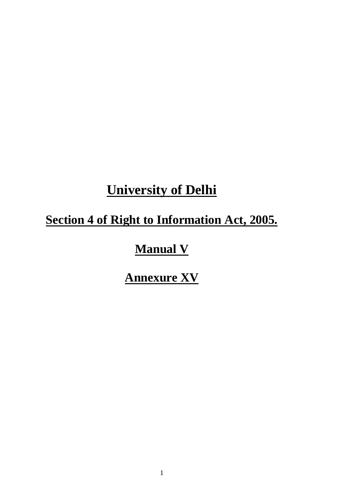# **University of Delhi**

# **Section 4 of Right to Information Act, 2005.**

# **Manual V**

# **Annexure XV**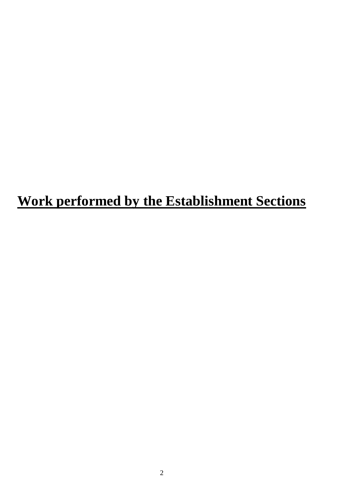# **Work performed by the Establishment Sections**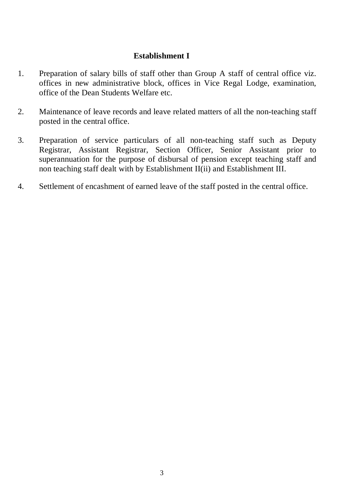### **Establishment I**

- 1. Preparation of salary bills of staff other than Group A staff of central office viz. offices in new administrative block, offices in Vice Regal Lodge, examination, office of the Dean Students Welfare etc.
- 2. Maintenance of leave records and leave related matters of all the non-teaching staff posted in the central office.
- 3. Preparation of service particulars of all non-teaching staff such as Deputy Registrar, Assistant Registrar, Section Officer, Senior Assistant prior to superannuation for the purpose of disbursal of pension except teaching staff and non teaching staff dealt with by Establishment II(ii) and Establishment III.
- 4. Settlement of encashment of earned leave of the staff posted in the central office.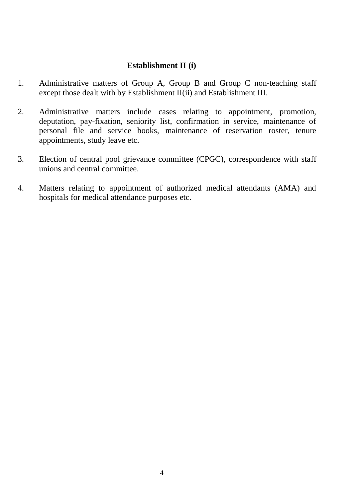### **Establishment II (i)**

- 1. Administrative matters of Group A, Group B and Group C non-teaching staff except those dealt with by Establishment II(ii) and Establishment III.
- 2. Administrative matters include cases relating to appointment, promotion, deputation, pay-fixation, seniority list, confirmation in service, maintenance of personal file and service books, maintenance of reservation roster, tenure appointments, study leave etc.
- 3. Election of central pool grievance committee (CPGC), correspondence with staff unions and central committee.
- 4. Matters relating to appointment of authorized medical attendants (AMA) and hospitals for medical attendance purposes etc.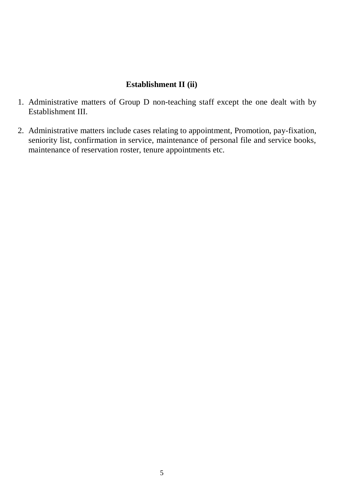## **Establishment II (ii)**

- 1. Administrative matters of Group D non-teaching staff except the one dealt with by Establishment III.
- 2. Administrative matters include cases relating to appointment, Promotion, pay-fixation, seniority list, confirmation in service, maintenance of personal file and service books, maintenance of reservation roster, tenure appointments etc.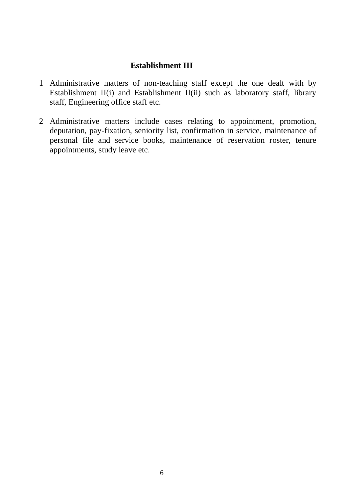### **Establishment III**

- 1 Administrative matters of non-teaching staff except the one dealt with by Establishment II(i) and Establishment II(ii) such as laboratory staff, library staff, Engineering office staff etc.
- 2 Administrative matters include cases relating to appointment, promotion, deputation, pay-fixation, seniority list, confirmation in service, maintenance of personal file and service books, maintenance of reservation roster, tenure appointments, study leave etc.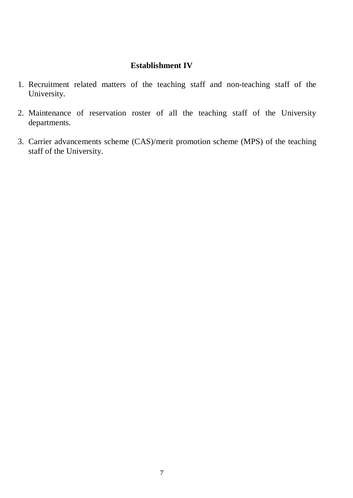### **Establishment IV**

- 1. Recruitment related matters of the teaching staff and non-teaching staff of the University.
- 2. Maintenance of reservation roster of all the teaching staff of the University departments.
- 3. Carrier advancements scheme (CAS)/merit promotion scheme (MPS) of the teaching staff of the University.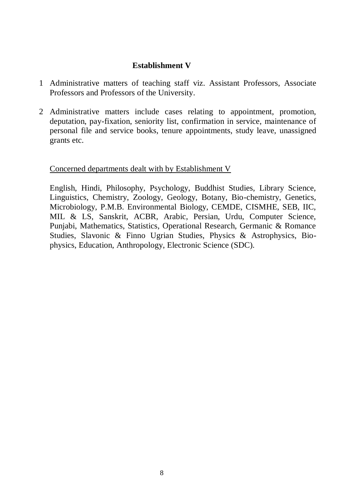### **Establishment V**

- 1 Administrative matters of teaching staff viz. Assistant Professors, Associate Professors and Professors of the University.
- 2 Administrative matters include cases relating to appointment, promotion, deputation, pay-fixation, seniority list, confirmation in service, maintenance of personal file and service books, tenure appointments, study leave, unassigned grants etc.

### Concerned departments dealt with by Establishment V

English, Hindi, Philosophy, Psychology, Buddhist Studies, Library Science, Linguistics, Chemistry, Zoology, Geology, Botany, Bio-chemistry, Genetics, Microbiology, P.M.B. Environmental Biology, CEMDE, CISMHE, SEB, IIC, MIL & LS, Sanskrit, ACBR, Arabic, Persian, Urdu, Computer Science, Punjabi, Mathematics, Statistics, Operational Research, Germanic & Romance Studies, Slavonic & Finno Ugrian Studies, Physics & Astrophysics, Biophysics, Education, Anthropology, Electronic Science (SDC).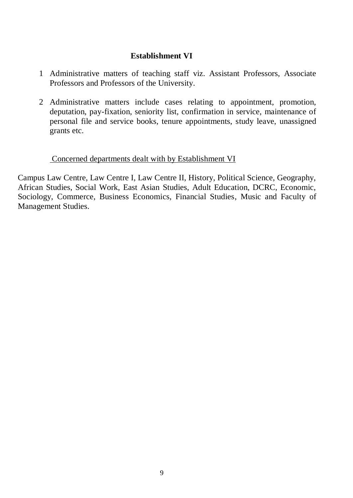## **Establishment VI**

- 1 Administrative matters of teaching staff viz. Assistant Professors, Associate Professors and Professors of the University.
- 2 Administrative matters include cases relating to appointment, promotion, deputation, pay-fixation, seniority list, confirmation in service, maintenance of personal file and service books, tenure appointments, study leave, unassigned grants etc.

### Concerned departments dealt with by Establishment VI

Campus Law Centre, Law Centre I, Law Centre II, History, Political Science, Geography, African Studies, Social Work, East Asian Studies, Adult Education, DCRC, Economic, Sociology, Commerce, Business Economics, Financial Studies, Music and Faculty of Management Studies.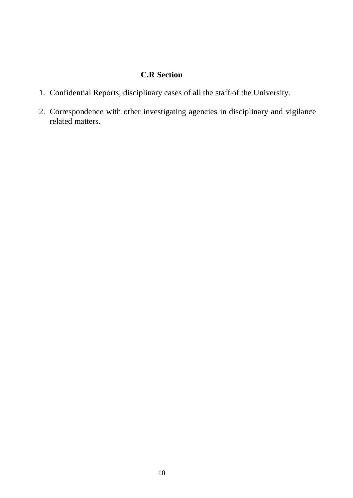## **C.R Section**

- 1. Confidential Reports, disciplinary cases of all the staff of the University.
- 2. Correspondence with other investigating agencies in disciplinary and vigilance related matters.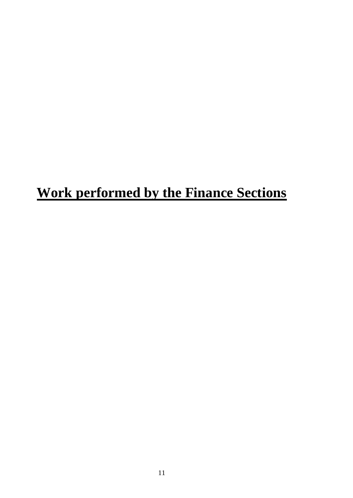# **Work performed by the Finance Sections**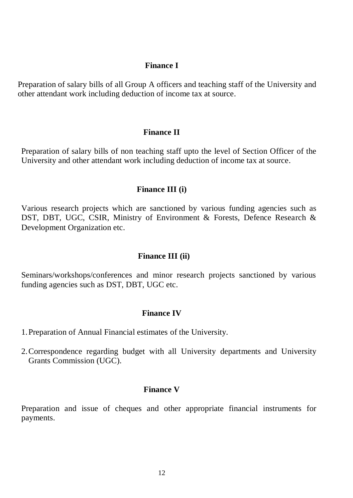#### **Finance I**

Preparation of salary bills of all Group A officers and teaching staff of the University and other attendant work including deduction of income tax at source.

#### **Finance II**

Preparation of salary bills of non teaching staff upto the level of Section Officer of the University and other attendant work including deduction of income tax at source.

#### **Finance III (i)**

Various research projects which are sanctioned by various funding agencies such as DST, DBT, UGC, CSIR, Ministry of Environment & Forests, Defence Research & Development Organization etc.

### **Finance III (ii)**

Seminars/workshops/conferences and minor research projects sanctioned by various funding agencies such as DST, DBT, UGC etc.

#### **Finance IV**

- 1.Preparation of Annual Financial estimates of the University.
- 2.Correspondence regarding budget with all University departments and University Grants Commission (UGC).

### **Finance V**

Preparation and issue of cheques and other appropriate financial instruments for payments.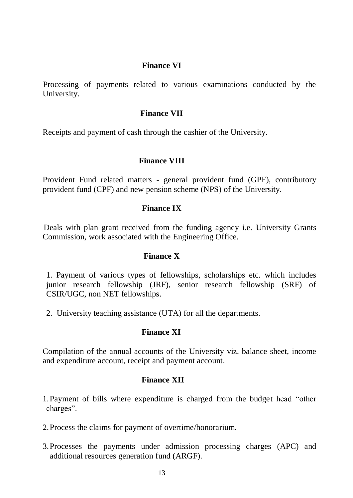### **Finance VI**

 Processing of payments related to various examinations conducted by the University.

#### **Finance VII**

Receipts and payment of cash through the cashier of the University.

### **Finance VIII**

Provident Fund related matters - general provident fund (GPF), contributory provident fund (CPF) and new pension scheme (NPS) of the University.

### **Finance IX**

 Deals with plan grant received from the funding agency i.e. University Grants Commission*,* work associated with the Engineering Office*.* 

### **Finance X**

1. Payment of various types of fellowships, scholarships etc. which includes junior research fellowship (JRF), senior research fellowship (SRF) of CSIR/UGC, non NET fellowships.

2. University teaching assistance (UTA) for all the departments.

### **Finance XI**

Compilation of the annual accounts of the University viz. balance sheet, income and expenditure account, receipt and payment account.

### **Finance XII**

1.Payment of bills where expenditure is charged from the budget head "other charges".

- 2.Process the claims for payment of overtime/honorarium.
- 3.Processes the payments under admission processing charges (APC) and additional resources generation fund (ARGF).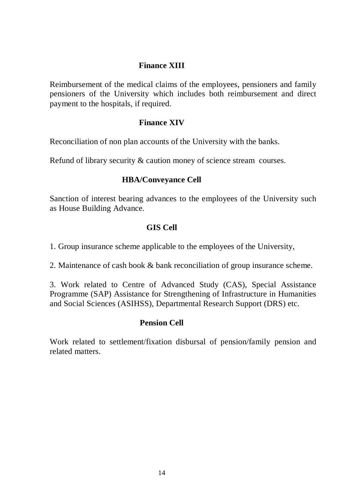## **Finance XIII**

Reimbursement of the medical claims of the employees, pensioners and family pensioners of the University which includes both reimbursement and direct payment to the hospitals, if required.

### **Finance XIV**

Reconciliation of non plan accounts of the University with the banks.

Refund of library security & caution money of science stream courses.

## **HBA/Conveyance Cell**

Sanction of interest bearing advances to the employees of the University such as House Building Advance*.* 

## **GIS Cell**

1. Group insurance scheme applicable to the employees of the University,

2. Maintenance of cash book & bank reconciliation of group insurance scheme.

3. Work related to Centre of Advanced Study (CAS), Special Assistance Programme (SAP) Assistance for Strengthening of Infrastructure in Humanities and Social Sciences (ASIHSS), Departmental Research Support (DRS) etc.

## **Pension Cell**

Work related to settlement/fixation disbursal of pension/family pension and related matters.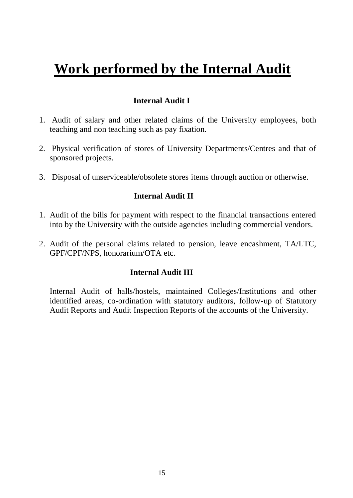# **Work performed by the Internal Audit**

## **Internal Audit I**

- 1. Audit of salary and other related claims of the University employees, both teaching and non teaching such as pay fixation.
- 2. Physical verification of stores of University Departments/Centres and that of sponsored projects.
- 3. Disposal of unserviceable/obsolete stores items through auction or otherwise.

## **Internal Audit II**

- 1. Audit of the bills for payment with respect to the financial transactions entered into by the University with the outside agencies including commercial vendors.
- 2. Audit of the personal claims related to pension, leave encashment, TA/LTC, GPF/CPF/NPS, honorarium/OTA etc.

## **Internal Audit III**

Internal Audit of halls/hostels, maintained Colleges/Institutions and other identified areas, co-ordination with statutory auditors, follow-up of Statutory Audit Reports and Audit Inspection Reports of the accounts of the University.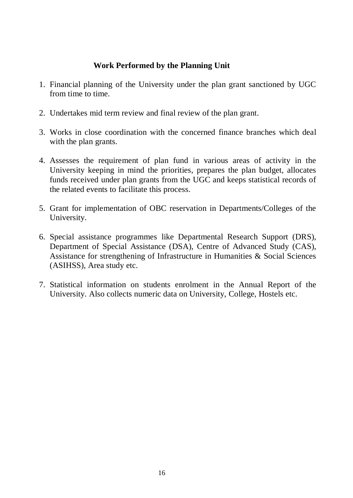## **Work Performed by the Planning Unit**

- 1. Financial planning of the University under the plan grant sanctioned by UGC from time to time.
- 2. Undertakes mid term review and final review of the plan grant.
- 3. Works in close coordination with the concerned finance branches which deal with the plan grants.
- 4. Assesses the requirement of plan fund in various areas of activity in the University keeping in mind the priorities, prepares the plan budget, allocates funds received under plan grants from the UGC and keeps statistical records of the related events to facilitate this process.
- 5. Grant for implementation of OBC reservation in Departments/Colleges of the University.
- 6. Special assistance programmes like Departmental Research Support (DRS), Department of Special Assistance (DSA), Centre of Advanced Study (CAS), Assistance for strengthening of Infrastructure in Humanities & Social Sciences (ASIHSS), Area study etc.
- 7. Statistical information on students enrolment in the Annual Report of the University. Also collects numeric data on University, College, Hostels etc.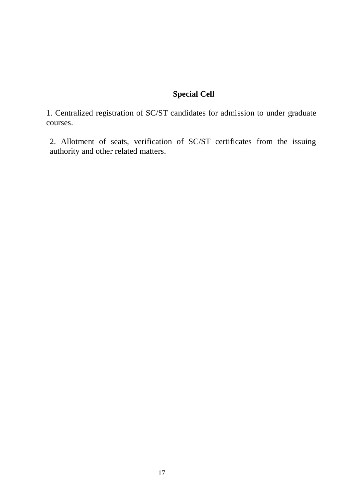## **Special Cell**

1. Centralized registration of SC/ST candidates for admission to under graduate courses.

2. Allotment of seats, verification of SC/ST certificates from the issuing authority and other related matters.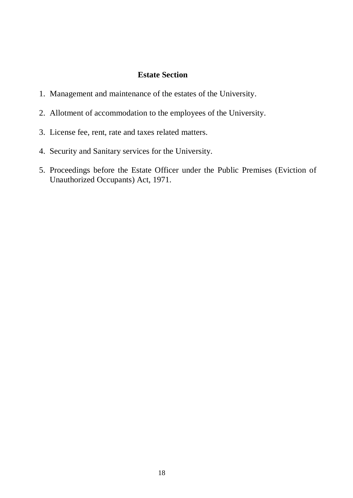### **Estate Section**

- 1. Management and maintenance of the estates of the University.
- 2. Allotment of accommodation to the employees of the University.
- 3. License fee, rent, rate and taxes related matters.
- 4. Security and Sanitary services for the University.
- 5. Proceedings before the Estate Officer under the Public Premises (Eviction of Unauthorized Occupants) Act, 1971.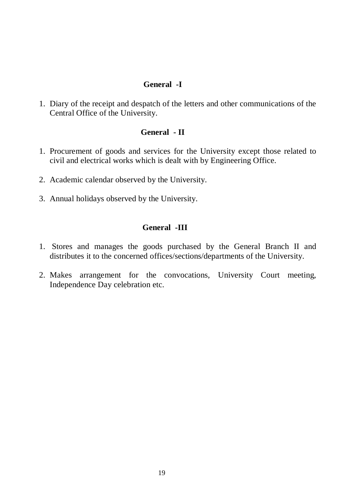### **General -I**

1. Diary of the receipt and despatch of the letters and other communications of the Central Office of the University.

### **General - II**

- 1. Procurement of goods and services for the University except those related to civil and electrical works which is dealt with by Engineering Office.
- 2. Academic calendar observed by the University.
- 3. Annual holidays observed by the University.

### **General -III**

- 1. Stores and manages the goods purchased by the General Branch II and distributes it to the concerned offices/sections/departments of the University.
- 2. Makes arrangement for the convocations, University Court meeting, Independence Day celebration etc.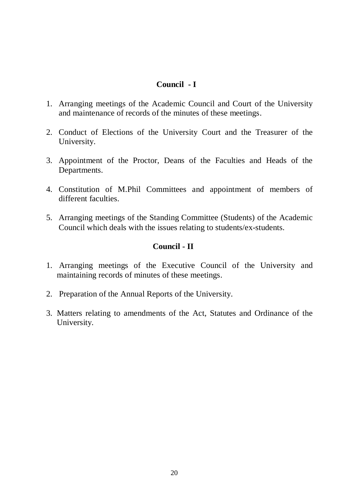### **Council - I**

- 1. Arranging meetings of the Academic Council and Court of the University and maintenance of records of the minutes of these meetings.
- 2. Conduct of Elections of the University Court and the Treasurer of the University.
- 3. Appointment of the Proctor, Deans of the Faculties and Heads of the Departments.
- 4. Constitution of M.Phil Committees and appointment of members of different faculties.
- 5. Arranging meetings of the Standing Committee (Students) of the Academic Council which deals with the issues relating to students/ex-students.

## **Council - II**

- 1. Arranging meetings of the Executive Council of the University and maintaining records of minutes of these meetings.
- 2. Preparation of the Annual Reports of the University.
- 3. Matters relating to amendments of the Act, Statutes and Ordinance of the University*.*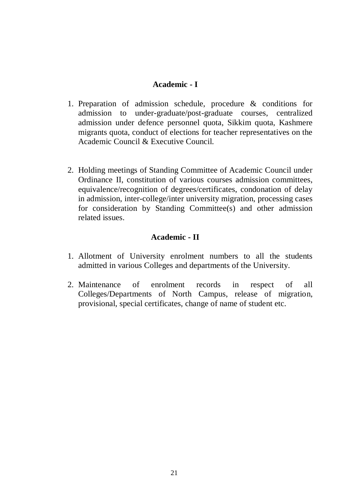### **Academic - I**

- 1. Preparation of admission schedule, procedure & conditions for admission to under-graduate/post-graduate courses, centralized admission under defence personnel quota, Sikkim quota, Kashmere migrants quota, conduct of elections for teacher representatives on the Academic Council & Executive Council.
- 2. Holding meetings of Standing Committee of Academic Council under Ordinance II, constitution of various courses admission committees, equivalence/recognition of degrees/certificates, condonation of delay in admission, inter-college/inter university migration, processing cases for consideration by Standing Committee(s) and other admission related issues.

### **Academic - II**

- 1. Allotment of University enrolment numbers to all the students admitted in various Colleges and departments of the University.
- 2. Maintenance of enrolment records in respect of all Colleges/Departments of North Campus, release of migration, provisional, special certificates, change of name of student etc.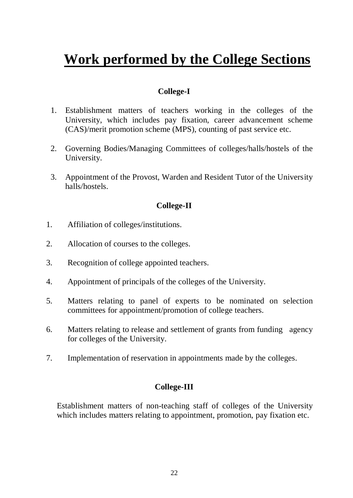# **Work performed by the College Sections**

### **College-I**

- 1. Establishment matters of teachers working in the colleges of the University, which includes pay fixation, career advancement scheme (CAS)/merit promotion scheme (MPS), counting of past service etc.
- 2. Governing Bodies/Managing Committees of colleges/halls/hostels of the University.
- 3. Appointment of the Provost, Warden and Resident Tutor of the University halls/hostels.

### **College-II**

- 1. Affiliation of colleges/institutions.
- 2. Allocation of courses to the colleges.
- 3. Recognition of college appointed teachers.
- 4. Appointment of principals of the colleges of the University.
- 5. Matters relating to panel of experts to be nominated on selection committees for appointment/promotion of college teachers.
- 6. Matters relating to release and settlement of grants from funding agency for colleges of the University.
- 7. Implementation of reservation in appointments made by the colleges.

### **College-III**

Establishment matters of non-teaching staff of colleges of the University which includes matters relating to appointment, promotion, pay fixation etc.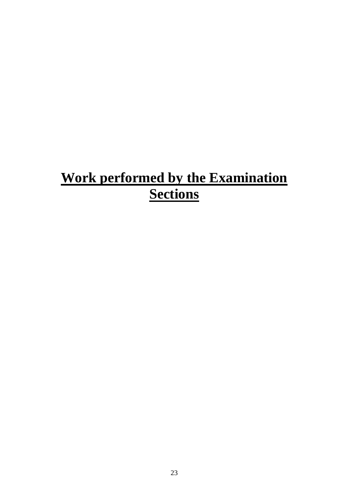# **Work performed by the Examination Sections**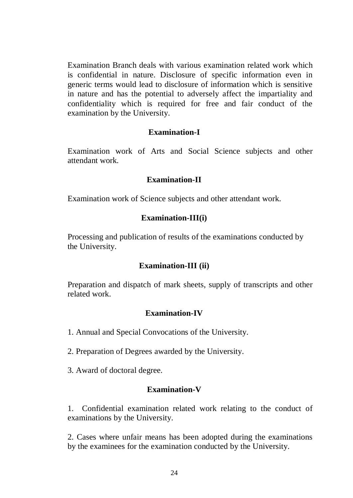Examination Branch deals with various examination related work which is confidential in nature. Disclosure of specific information even in generic terms would lead to disclosure of information which is sensitive in nature and has the potential to adversely affect the impartiality and confidentiality which is required for free and fair conduct of the examination by the University.

### **Examination-I**

Examination work of Arts and Social Science subjects and other attendant work*.* 

### **Examination-II**

Examination work of Science subjects and other attendant work*.* 

### **Examination-III(i)**

Processing and publication of results of the examinations conducted by the University.

### **Examination-III (ii)**

Preparation and dispatch of mark sheets, supply of transcripts and other related work.

### **Examination-IV**

1. Annual and Special Convocations of the University.

- 2. Preparation of Degrees awarded by the University.
- 3. Award of doctoral degree*.*

### **Examination-V**

1. Confidential examination related work relating to the conduct of examinations by the University.

2. Cases where unfair means has been adopted during the examinations by the examinees for the examination conducted by the University.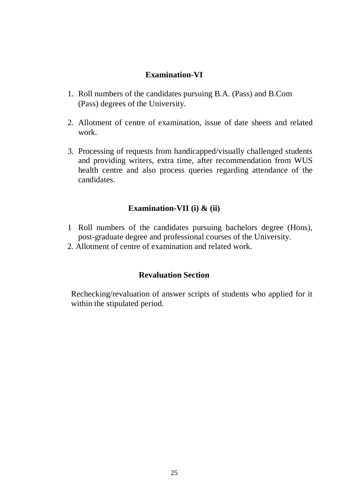## **Examination-VI**

- 1. Roll numbers of the candidates pursuing B.A. (Pass) and B.Com (Pass) degrees of the University.
- 2. Allotment of centre of examination, issue of date sheets and related work.
- 3. Processing of requests from handicapped/visually challenged students and providing writers, extra time, after recommendation from WUS health centre and also process queries regarding attendance of the candidates.

## **Examination-VII (i) & (ii)**

- 1 Roll numbers of the candidates pursuing bachelors degree (Hons), post-graduate degree and professional courses of the University.
- 2. Allotment of centre of examination and related work.

### **Revaluation Section**

Rechecking/revaluation of answer scripts of students who applied for it within the stipulated period.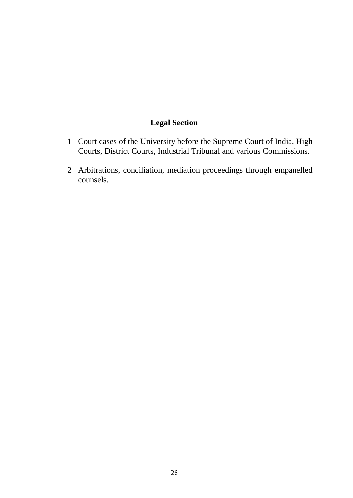# **Legal Section**

- 1 Court cases of the University before the Supreme Court of India, High Courts, District Courts, Industrial Tribunal and various Commissions.
- 2 Arbitrations, conciliation, mediation proceedings through empanelled counsels.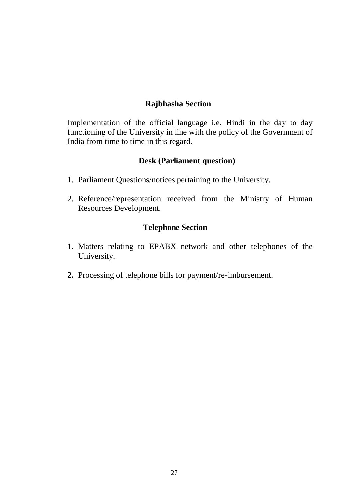### **Rajbhasha Section**

Implementation of the official language i.e. Hindi in the day to day functioning of the University in line with the policy of the Government of India from time to time in this regard.

### **Desk (Parliament question)**

- 1. Parliament Questions/notices pertaining to the University.
- 2. Reference/representation received from the Ministry of Human Resources Development.

### **Telephone Section**

- 1. Matters relating to EPABX network and other telephones of the University.
- **2.** Processing of telephone bills for payment/re-imbursement.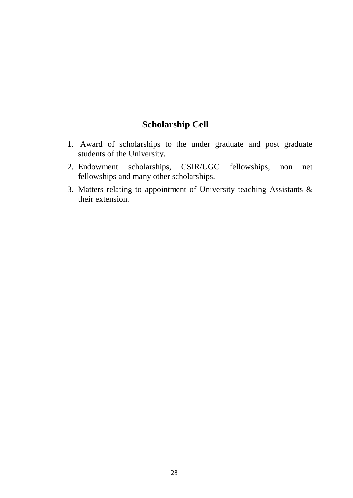# **Scholarship Cell**

- 1. Award of scholarships to the under graduate and post graduate students of the University.
- 2. Endowment scholarships, CSIR/UGC fellowships, non net fellowships and many other scholarships.
- 3. Matters relating to appointment of University teaching Assistants & their extension.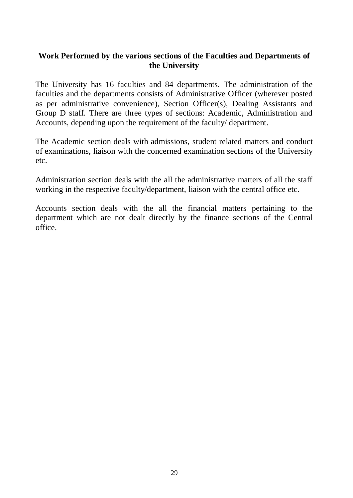## **Work Performed by the various sections of the Faculties and Departments of the University**

The University has 16 faculties and 84 departments. The administration of the faculties and the departments consists of Administrative Officer (wherever posted as per administrative convenience), Section Officer(s), Dealing Assistants and Group D staff. There are three types of sections: Academic, Administration and Accounts, depending upon the requirement of the faculty/ department.

The Academic section deals with admissions, student related matters and conduct of examinations, liaison with the concerned examination sections of the University etc.

Administration section deals with the all the administrative matters of all the staff working in the respective faculty/department, liaison with the central office etc.

Accounts section deals with the all the financial matters pertaining to the department which are not dealt directly by the finance sections of the Central office.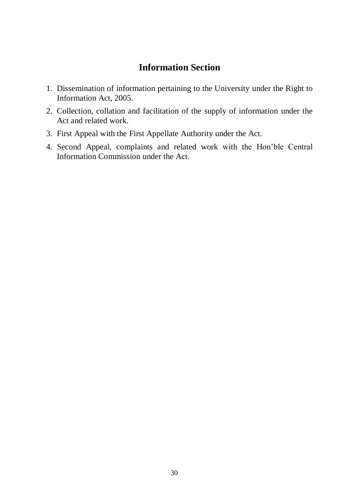# **Information Section**

- 1. Dissemination of information pertaining to the University under the Right to Information Act, 2005.
- 2. Collection, collation and facilitation of the supply of information under the Act and related work.
- 3. First Appeal with the First Appellate Authority under the Act.
- 4. Second Appeal, complaints and related work with the Hon'ble Central Information Commission under the Act.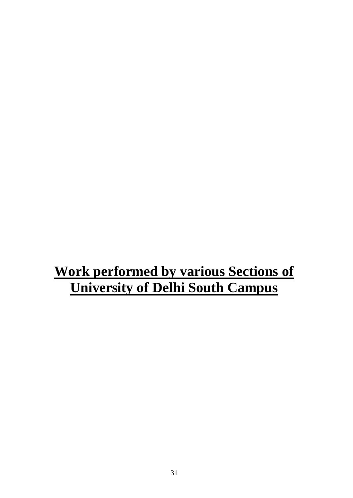# **Work performed by various Sections of University of Delhi South Campus**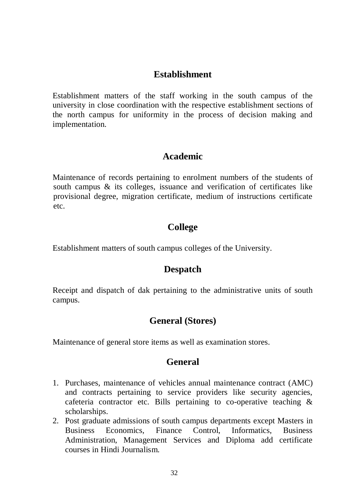# **Establishment**

Establishment matters of the staff working in the south campus of the university in close coordination with the respective establishment sections of the north campus for uniformity in the process of decision making and implementation.

## **Academic**

Maintenance of records pertaining to enrolment numbers of the students of south campus & its colleges, issuance and verification of certificates like provisional degree, migration certificate, medium of instructions certificate etc.

# **College**

Establishment matters of south campus colleges of the University.

## **Despatch**

Receipt and dispatch of dak pertaining to the administrative units of south campus.

# **General (Stores)**

Maintenance of general store items as well as examination stores.

# **General**

- 1. Purchases, maintenance of vehicles annual maintenance contract (AMC) and contracts pertaining to service providers like security agencies, cafeteria contractor etc. Bills pertaining to co-operative teaching & scholarships.
- 2. Post graduate admissions of south campus departments except Masters in Business Economics, Finance Control, Informatics, Business Administration, Management Services and Diploma add certificate courses in Hindi Journalism.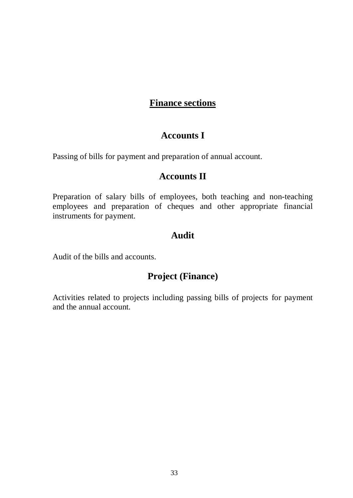# **Finance sections**

## **Accounts I**

Passing of bills for payment and preparation of annual account.

# **Accounts II**

Preparation of salary bills of employees, both teaching and non-teaching employees and preparation of cheques and other appropriate financial instruments for payment.

## **Audit**

Audit of the bills and accounts.

# **Project (Finance)**

Activities related to projects including passing bills of projects for payment and the annual account*.*